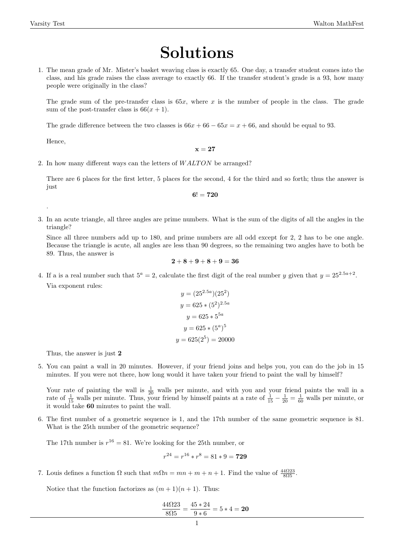## Solutions

1. The mean grade of Mr. Mister's basket weaving class is exactly 65. One day, a transfer student comes into the class, and his grade raises the class average to exactly 66. If the transfer student's grade is a 93, how many people were originally in the class?

The grade sum of the pre-transfer class is  $65x$ , where x is the number of people in the class. The grade sum of the post-transfer class is  $66(x + 1)$ .

The grade difference between the two classes is  $66x + 66 - 65x = x + 66$ , and should be equal to 93.

Hence,

.

 $x = 27$ 

2. In how many different ways can the letters of WALTON be arranged?

There are 6 places for the first letter, 5 places for the second, 4 for the third and so forth; thus the answer is just

$$
6!=720
$$

3. In an acute triangle, all three angles are prime numbers. What is the sum of the digits of all the angles in the triangle?

Since all three numbers add up to 180, and prime numbers are all odd except for 2, 2 has to be one angle. Because the triangle is acute, all angles are less than 90 degrees, so the remaining two angles have to both be 89. Thus, the answer is

$$
{\bf 2} + {\bf 8} + {\bf 9} + {\bf 8} + {\bf 9} = {\bf 36}
$$

4. If a is a real number such that  $5^a = 2$ , calculate the first digit of the real number y given that  $y = 25^{2.5a+2}$ . Via exponent rules:

$$
y = (25^{2.5a})(25^2)
$$
  
\n
$$
y = 625 * (5^2)^{2.5a}
$$
  
\n
$$
y = 625 * 5^{5a}
$$
  
\n
$$
y = 625 * (5^a)^5
$$
  
\n
$$
y = 625(2^5) = 20000
$$

Thus, the answer is just 2

5. You can paint a wall in 20 minutes. However, if your friend joins and helps you, you can do the job in 15 minutes. If you were not there, how long would it have taken your friend to paint the wall by himself?

Your rate of painting the wall is  $\frac{1}{20}$  walls per minute, and with you and your friend paints the wall in a rate of  $\frac{1}{15}$  walls per minute. Thus, your friend by himself paints at a rate of  $\frac{1}{15} - \frac{1}{20} = \frac{1}{60}$  walls per minute, or it would take 60 minutes to paint the wall.

6. The first number of a geometric sequence is 1, and the 17th number of the same geometric sequence is 81. What is the 25th number of the geometric sequence?

The 17th number is  $r^{16} = 81$ . We're looking for the 25th number, or

$$
r^{24} = r^{16} * r^8 = 81 * 9 = 729
$$

7. Louis defines a function  $\Omega$  such that  $m\Omega n = mn + m + n + 1$ . Find the value of  $\frac{44\Omega 23}{8\Omega 5}$ .

Notice that the function factorizes as  $(m+1)(n+1)$ . Thus:

$$
\frac{44\Omega 23}{8\Omega 5} = \frac{45 * 24}{9 * 6} = 5 * 4 = 20
$$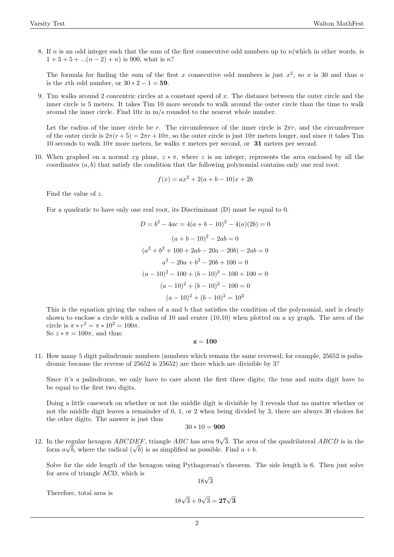8. If n is an odd integer such that the sum of the first consecutive odd numbers up to  $n(\text{which in other words, is})$  $1 + 3 + 5 + \ldots (n - 2) + n$  is 900, what is n?

The formula for finding the sum of the first x consecutive odd numbers is just  $x^2$ , so x is 30 and thus n is the x<sup>th</sup> odd number, or  $30 * 2 - 1 = 59$ .

9. Tim walks around 2 concentric circles at a constant speed of x. The distance between the outer circle and the inner circle is 5 meters. It takes Tim 10 more seconds to walk around the outer circle than the time to walk around the inner circle. Find  $10x$  in m/s rounded to the nearest whole number.

Let the radius of the inner circle be r. The circumference of the inner circle is  $2\pi r$ , and the circumference of the outer circle is  $2\pi(r+5) = 2\pi r + 10\pi$ , so the outer circle is just  $10\pi$  meters longer, and since it takes Tim 10 seconds to walk  $10\pi$  more meters, he walks  $\pi$  meters per second, or 31 meters per second.

10. When graphed on a normal  $xy$  plane,  $z * \pi$ , where z is an integer, represents the area enclosed by all the coordinates  $(a, b)$  that satisfy the condition that the following polynomial contains only one real root:

$$
f(x) = ax^2 + 2(a + b - 10)x + 2b
$$

Find the value of z.

For a quadratic to have only one real root, its Discriminant (D) must be equal to 0.

$$
D = b2 - 4ac = 4(a + b - 10)2 - 4(a)(2b) = 0
$$

$$
(a + b - 10)2 - 2ab = 0
$$

$$
(a2 + b2 + 100 + 2ab - 20a - 20b) - 2ab = 0
$$

$$
a2 - 20a + b2 - 20b + 100 = 0
$$

$$
(a - 10)2 - 100 + (b - 10)2 - 100 + 100 = 0
$$

$$
(a - 10)2 + (b - 10)2 - 100 = 0
$$

$$
(a - 10)2 + (b - 10)2 = 102
$$

This is the equation giving the values of a and b that satisfies the condition of the polynomial, and is clearly shown to enclose a circle with a radius of 10 and center (10,10) when plotted on a xy graph. The area of the circle is  $\pi * r^2 = \pi * 10^2 = 100\pi$ . So  $z * \pi = 100\pi$ , and thus:

## $z = 100$

11. How many 5 digit palindromic numbers (numbers which remain the same reversed; for example, 25652 is palindromic because the reverse of 25652 is 25652) are there which are divisible by 3?

Since it's a palindrome, we only have to care about the first three digits; the tens and units digit have to be equal to the first two digits.

Doing a little casework on whether or not the middle digit is divisible by 3 reveals that no matter whether or not the middle digit leaves a remainder of 0, 1, or 2 when being divided by 3, there are always 30 choices for the other digits. The answer is just thus

$$
30*10=\mathbf{900}
$$

12. In the regular hexagon  $ABCDEF$ , triangle  $ABC$  has area  $9\sqrt{3}$ . The area of the quadrilateral  $ABCD$  is in the In the regular nexagon  $ABCDEF$ , triangle  $ABC$  has area  $9\sqrt{3}$ . The area form  $a\sqrt{b}$ , where the radical  $(\sqrt{b})$  is as simplified as possible. Find  $a + b$ .

Solve for the side length of the hexagon using Pythagorean's theorem. The side length is 6. Then just solve for area of triangle ACD, which is

18√ 3

Therefore, total area is

$$
18\sqrt{3} + 9\sqrt{3} = 27\sqrt{3}
$$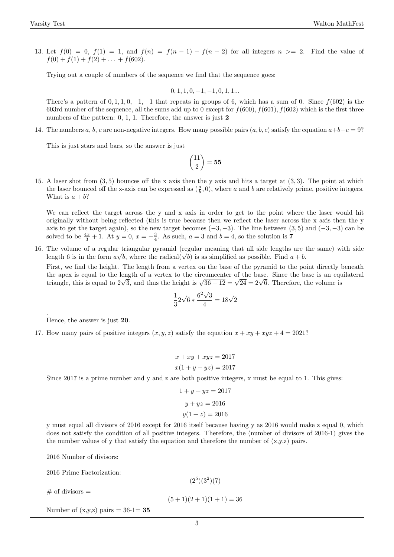13. Let  $f(0) = 0$ ,  $f(1) = 1$ , and  $f(n) = f(n-1) - f(n-2)$  for all integers  $n \geq 2$ . Find the value of  $f(0) + f(1) + f(2) + \ldots + f(602).$ 

Trying out a couple of numbers of the sequence we find that the sequence goes:

 $0, 1, 1, 0, -1, -1, 0, 1, 1...$ 

There's a pattern of  $0, 1, 1, 0, -1, -1$  that repeats in groups of 6, which has a sum of 0. Since  $f(602)$  is the 603rd number of the sequence, all the sums add up to 0 except for  $f(600)$ ,  $f(601)$ ,  $f(602)$  which is the first three numbers of the pattern: 0, 1, 1. Therefore, the answer is just 2

14. The numbers a, b, c are non-negative integers. How many possible pairs  $(a, b, c)$  satisfy the equation  $a+b+c=9$ ?

This is just stars and bars, so the answer is just

$$
\binom{11}{2} = \mathbf{55}
$$

15. A laser shot from (3, 5) bounces off the x axis then the y axis and hits a target at (3, 3). The point at which the laser bounced off the x-axis can be expressed as  $(\frac{a}{b}, 0)$ , where a and b are relatively prime, positive integers. What is  $a + b$ ?

We can reflect the target across the y and x axis in order to get to the point where the laser would hit originally without being reflected (this is true because then we reflect the laser across the x axis then the y axis to get the target again), so the new target becomes  $(-3, -3)$ . The line between  $(3, 5)$  and  $(-3, -3)$  can be solved to be  $\frac{4x}{3} + 1$ . At  $y = 0$ ,  $x = -\frac{3}{4}$ . As such,  $a = 3$  and  $b = 4$ , so the solution is 7

16. The volume of a regular triangular pyramid (regular meaning that all side lengths are the same) with side The volume of a regular triangular pyramid (regular meaning that all side lengths are length 6 is in the form  $a\sqrt{b}$ , where the radical( $\sqrt{b}$ ) is as simplified as possible. Find  $a + b$ .

First, we find the height. The length from a vertex on the base of the pyramid to the point directly beneath the apex is equal to the length of a vertex to the circumcenter of the base. Since the base is an equilateral the apex is equal to the length of a vertex to the circumcenter of the base. Since the base is an equal to  $2\sqrt{3}$ , and thus the height is  $\sqrt{36-12} = \sqrt{24} = 2\sqrt{6}$ . Therefore, the volume is

$$
\frac{1}{3}2\sqrt{6} * \frac{6^2\sqrt{3}}{4} = 18\sqrt{2}
$$

Hence, the answer is just 20.

.

17. How many pairs of positive integers  $(x, y, z)$  satisfy the equation  $x + xy + xyz + 4 = 2021$ ?

$$
x + xy + xyz = 2017
$$

$$
x(1 + y + yz) = 2017
$$

Since 2017 is a prime number and y and z are both positive integers, x must be equal to 1. This gives:

$$
1 + y + yz = 2017
$$

$$
y + yz = 2016
$$

$$
y(1 + z) = 2016
$$

y must equal all divisors of 2016 except for 2016 itself because having y as 2016 would make z equal 0, which does not satisfy the condition of all positive integers. Therefore, the (number of divisors of 2016-1) gives the the number values of y that satisfy the equation and therefore the number of  $(x,y,z)$  pairs.

2016 Number of divisors:

2016 Prime Factorization:

 $#$  of divisors  $=$ 

 $(2^5)(3^2)(7)$  $(5+1)(2+1)(1+1) = 36$ 

Number of  $(x,y,z)$  pairs = 36-1= 35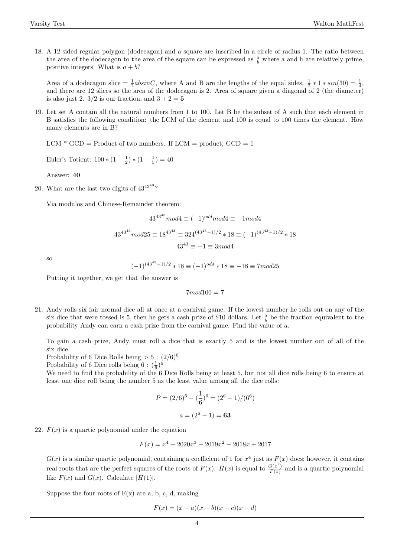18. A 12-sided regular polygon (dodecagon) and a square are inscribed in a circle of radius 1. The ratio between the area of the dodecagon to the area of the square can be expressed as  $\frac{a}{b}$  where a and b are relatively prime, positive integers. What is  $a + b$ ?

Area of a dodecagon slice  $=\frac{1}{2}absinC$ , where A and B are the lengths of the equal sides.  $\frac{1}{2} * 1 * sin(30) = \frac{1}{4}$ , and there are 12 slices so the area of the dodecagon is 2. Area of square given a diagonal of 2 (the diameter) is also just 2.  $3/2$  is our fraction, and  $3 + 2 = 5$ 

19. Let set A contain all the natural numbers from 1 to 100. Let B be the subset of A such that each element in B satisfies the following condition: the LCM of the element and 100 is equal to 100 times the element. How many elements are in B?

 $LCM * GCD = Product of two numbers. If  $LCM = product, GCD = 1$$ 

Euler's Totient:  $100 * (1 - \frac{1}{2}) * (1 - \frac{1}{5}) = 40$ 

Answer: 40

20. What are the last two digits of  $43^{43^{43}}$ ?

Via modulos and Chinese-Remainder theorem:

$$
43^{43^{43}} \mod 4 \equiv (-1)^{odd} \mod 4 \equiv -1 \mod 4
$$
  

$$
43^{43^{43}} \mod 25 \equiv 18^{43^{43}} \equiv 324^{(43^{43}-1)/2} * 18 \equiv (-1)^{(43^{43}-1)/2} * 18
$$
  

$$
43^{43} \equiv -1 \equiv 3 \mod 4
$$

so

$$
(-1)^{(43^{43}-1)/2} * 18 \equiv (-1)^{odd} * 18 \equiv -18 \equiv 7 mod 25
$$

Putting it together, we get that the answer is

 $7mod100 = 7$ 

21. Andy rolls six fair normal dice all at once at a carnival game. If the lowest number he rolls out on any of the six dice that were tossed is 5, then he gets a cash prize of \$10 dollars. Let  $\frac{a}{b}$  be the fraction equivalent to the probability Andy can earn a cash prize from the carnival game. Find the value of a.

To gain a cash prize, Andy must roll a dice that is exactly 5 and is the lowest number out of all of the six dice.

Probability of 6 Dice Rolls being  $> 5 : (2/6)^6$ 

Probability of 6 Dice rolls being  $6: (\frac{1}{6})^6$ 

We need to find the probability of the 6 Dice Rolls being at least 5, but not all dice rolls being 6 to ensure at least one dice roll being the number 5 as the least value among all the dice rolls:

$$
P = (2/6)^6 - (\frac{1}{6})^6 = (2^6 - 1)/(6^6)
$$

$$
a = (2^6 - 1) = 63
$$

22.  $F(x)$  is a quartic polynomial under the equation

$$
F(x) = x^4 + 2020x^3 - 2019x^2 - 2018x + 2017
$$

 $G(x)$  is a similar quartic polynomial, containing a coefficient of 1 for  $x^4$  just as  $F(x)$  does; however, it contains real roots that are the perfect squares of the roots of  $F(x)$ .  $H(x)$  is equal to  $\frac{G(x^2)}{F(x)}$  $\frac{G(x)}{F(x)}$  and is a quartic polynomial like  $F(x)$  and  $G(x)$ . Calculate  $|H(1)|$ .

Suppose the four roots of  $F(x)$  are a, b, c, d, making

$$
F(x) = (x - a)(x - b)(x - c)(x - d)
$$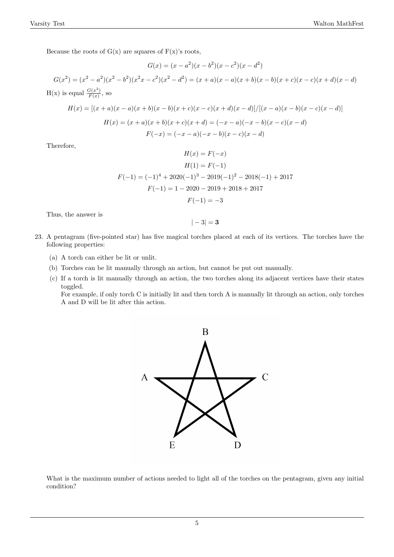Because the roots of  $G(x)$  are squares of  $F(x)$ 's roots,

$$
G(x) = (x - a^2)(x - b^2)(x - c^2)(x - d^2)
$$
  
\n
$$
G(x^2) = (x^2 - a^2)(x^2 - b^2)(x^2x - c^2)(x^2 - d^2) = (x + a)(x - a)(x + b)(x - b)(x + c)(x - c)(x + d)(x - d)
$$
  
\n
$$
H(x) \text{ is equal } \frac{G(x^2)}{F(x)}, \text{ so}
$$

$$
H(x) = [(x+a)(x-a)(x+b)(x-b)(x+c)(x-c)(x+d)(x-d)]/[(x-a)(x-b)(x-c)(x-d)]
$$

$$
H(x) = (x+a)(x+b)(x+c)(x+d) = (-x-a)(-x-b)(x-c)(x-d)
$$

$$
F(-x) = (-x-a)(-x-b)(x-c)(x-d)
$$

Therefore,

$$
H(x) = F(-x)
$$
  
\n
$$
H(1) = F(-1)
$$
  
\n
$$
F(-1) = (-1)^{4} + 2020(-1)^{3} - 2019(-1)^{2} - 2018(-1) + 2017
$$
  
\n
$$
F(-1) = 1 - 2020 - 2019 + 2018 + 2017
$$
  
\n
$$
F(-1) = -3
$$

Thus, the answer is

$$
|-3|=3
$$

- 23. A pentagram (five-pointed star) has five magical torches placed at each of its vertices. The torches have the following properties:
	- (a) A torch can either be lit or unlit.
	- (b) Torches can be lit manually through an action, but cannot be put out manually.
	- (c) If a torch is lit manually through an action, the two torches along its adjacent vertices have their states toggled.

For example, if only torch C is initially lit and then torch A is manually lit through an action, only torches A and D will be lit after this action.



What is the maximum number of actions needed to light all of the torches on the pentagram, given any initial condition?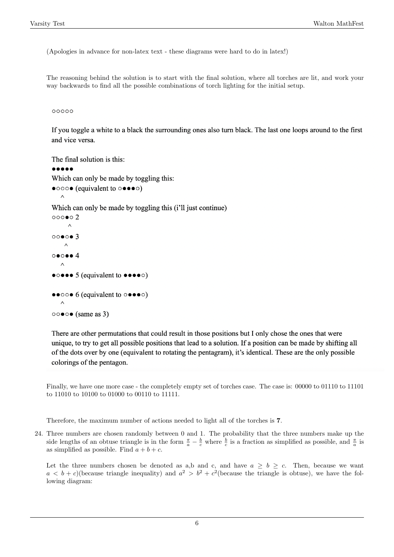(Apologies in advance for non-latex text - these diagrams were hard to do in latex!)

The reasoning behind the solution is to start with the final solution, where all torches are lit, and work your way backwards to find all the possible combinations of torch lighting for the initial setup.

00000

If you toggle a white to a black the surrounding ones also turn black. The last one loops around to the first and vice versa.

```
The final solution is this:
\bullet\bullet\bullet\bullet\bulletWhich can only be made by toggling this:
\bullet000\bullet (equivalent to \circ \bullet \bullet \bullet \circ)
      \wedgeWhich can only be made by toggling this (i'll just continue)
000002\wedge0000003\wedge\circ \bullet \circ \bullet \bullet 4\bullet \circ \bullet \bullet \bullet 5 (equivalent to \bullet \bullet \bullet \bullet \circ)
\bullet \bullet \circ \circ \bullet 6 (equivalent to \circ \bullet \bullet \bullet \circ)
      \lambda\circ \circ \bullet \circ \bullet (same as 3)
```
There are other permutations that could result in those positions but I only chose the ones that were unique, to try to get all possible positions that lead to a solution. If a position can be made by shifting all of the dots over by one (equivalent to rotating the pentagram), it's identical. These are the only possible colorings of the pentagon.

Finally, we have one more case - the completely empty set of torches case. The case is: 00000 to 01110 to 11101 to 11010 to 10100 to 01000 to 00110 to 11111.

Therefore, the maximum number of actions needed to light all of the torches is 7.

24. Three numbers are chosen randomly between 0 and 1. The probability that the three numbers make up the side lengths of an obtuse triangle is in the form  $\frac{\pi}{a} - \frac{b}{c}$  where  $\frac{b}{c}$  is a fraction as simplified as possible, and  $\frac{\pi}{a}$  is as simplified as possible. Find  $a + b + c$ .

Let the three numbers chosen be denoted as a,b and c, and have  $a \ge b \ge c$ . Then, because we want  $a < b + c$ )(because triangle inequality) and  $a^2 > b^2 + c^2$ (because the triangle is obtuse), we have the following diagram: